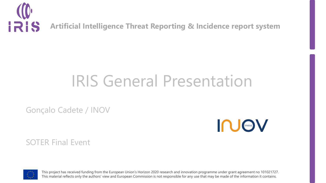

# IRIS General Presentation

Gonçalo Cadete / INOV

**IN CINE OF VIOLENCE** 

SOTER Final Event



This project has received funding from the European Union's Horizon 2020 research and innovation programme under grant agreement no 101021727. This material reflects only the authors' view and European Commission is not responsible for any use that may be made of the information it contains.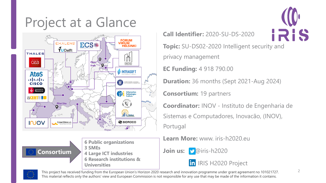### Project at a Glance





**6 Public organizations 3 SMEs 4 Large ICT industries 6 Research institutions & Universities**

**Call Identifier:** 2020-SU-DS-2020



**Topic:** SU-DS02-2020 Intelligent security and privacy management

**EC Funding:** 4 918 790.00

**Duration:** 36 months (Sept 2021-Aug 2024)

**Consortium:** 19 partners

**Coordinator:** INOV - Instituto de Engenharia de Sistemas e Computadores, Inovacão, (INOV), Portugal

**Learn More:** www. iris-h2020.eu

**Join us: <u>Depair</u>is-h2020** 





This project has received funding from the European Union's Horizon 2020 research and innovation programme under grant agreement no 101021727. This material reflects only the authors' view and European Commission is not responsible for any use that may be made of the information it contains.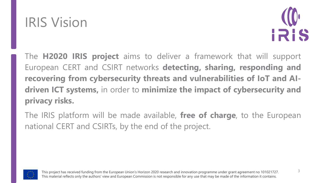



The **H2020 IRIS project** aims to deliver a framework that will support European CERT and CSIRT networks **detecting, sharing, responding and recovering from cybersecurity threats and vulnerabilities of IoT and AIdriven ICT systems,** in order to **minimize the impact of cybersecurity and privacy risks.**

The IRIS platform will be made available, **free of charge**, to the European national CERT and CSIRTs, by the end of the project.

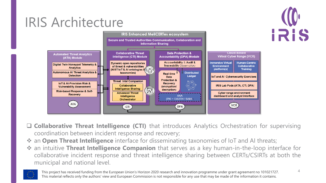## IRIS Architecture



❑ **Collaborative Threat Intelligence (CTI)** that introduces Analytics Orchestration for supervising coordination between incident response and recovery;

- ❖ an **Open Threat Intelligence** interface for disseminating taxonomies of IoT and AI threats;
- ❖ an intuitive **Threat Intelligence Companion** that serves as a key human-in-the-loop interface for collaborative incident response and threat intelligence sharing between CERTs/CSIRTs at both the municipal and national level.



**IRIS**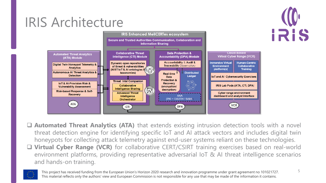## IRIS Architecture



❑ **Automated Threat Analytics (ATA)** that extends existing intrusion detection tools with a novel threat detection engine for identifying specific IoT and AI attack vectors and includes digital twin honeypots for collecting attack telemetry against end-user systems reliant on these technologies.

❑ **Virtual Cyber Range (VCR)** for collaborative CERT/CSIRT training exercises based on real-world environment platforms, providing representative adversarial IoT & AI threat intelligence scenarios and hands-on training.



IRIS